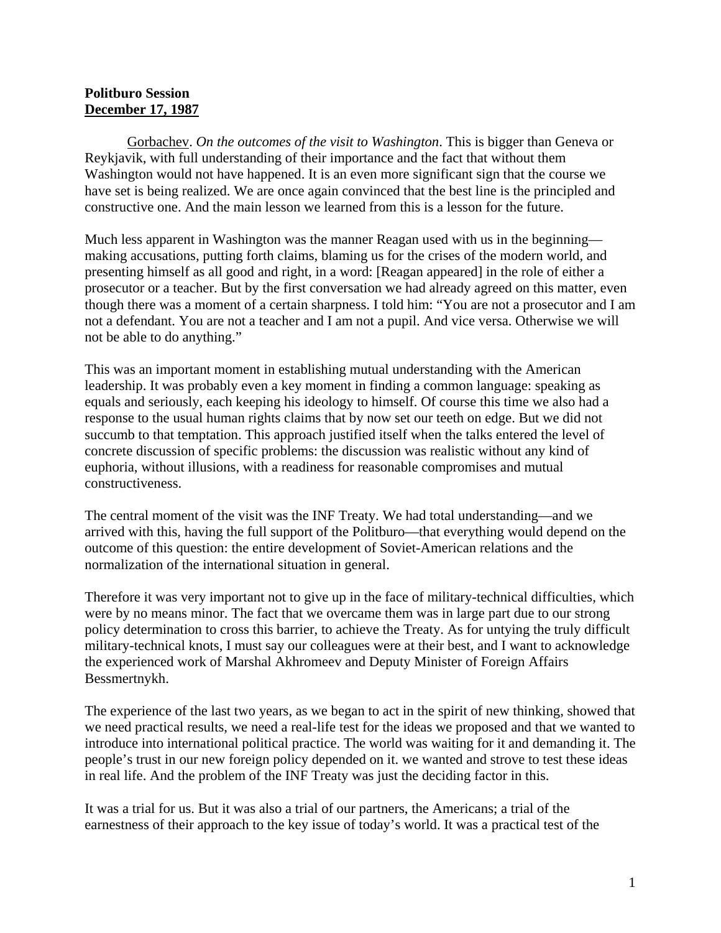## **Politburo Session December 17, 1987**

Gorbachev. *On the outcomes of the visit to Washington*. This is bigger than Geneva or Reykjavik, with full understanding of their importance and the fact that without them Washington would not have happened. It is an even more significant sign that the course we have set is being realized. We are once again convinced that the best line is the principled and constructive one. And the main lesson we learned from this is a lesson for the future.

Much less apparent in Washington was the manner Reagan used with us in the beginning making accusations, putting forth claims, blaming us for the crises of the modern world, and presenting himself as all good and right, in a word: [Reagan appeared] in the role of either a prosecutor or a teacher. But by the first conversation we had already agreed on this matter, even though there was a moment of a certain sharpness. I told him: "You are not a prosecutor and I am not a defendant. You are not a teacher and I am not a pupil. And vice versa. Otherwise we will not be able to do anything."

This was an important moment in establishing mutual understanding with the American leadership. It was probably even a key moment in finding a common language: speaking as equals and seriously, each keeping his ideology to himself. Of course this time we also had a response to the usual human rights claims that by now set our teeth on edge. But we did not succumb to that temptation. This approach justified itself when the talks entered the level of concrete discussion of specific problems: the discussion was realistic without any kind of euphoria, without illusions, with a readiness for reasonable compromises and mutual constructiveness.

The central moment of the visit was the INF Treaty. We had total understanding—and we arrived with this, having the full support of the Politburo—that everything would depend on the outcome of this question: the entire development of Soviet-American relations and the normalization of the international situation in general.

Therefore it was very important not to give up in the face of military-technical difficulties, which were by no means minor. The fact that we overcame them was in large part due to our strong policy determination to cross this barrier, to achieve the Treaty. As for untying the truly difficult military-technical knots, I must say our colleagues were at their best, and I want to acknowledge the experienced work of Marshal Akhromeev and Deputy Minister of Foreign Affairs Bessmertnykh.

The experience of the last two years, as we began to act in the spirit of new thinking, showed that we need practical results, we need a real-life test for the ideas we proposed and that we wanted to introduce into international political practice. The world was waiting for it and demanding it. The people's trust in our new foreign policy depended on it. we wanted and strove to test these ideas in real life. And the problem of the INF Treaty was just the deciding factor in this.

It was a trial for us. But it was also a trial of our partners, the Americans; a trial of the earnestness of their approach to the key issue of today's world. It was a practical test of the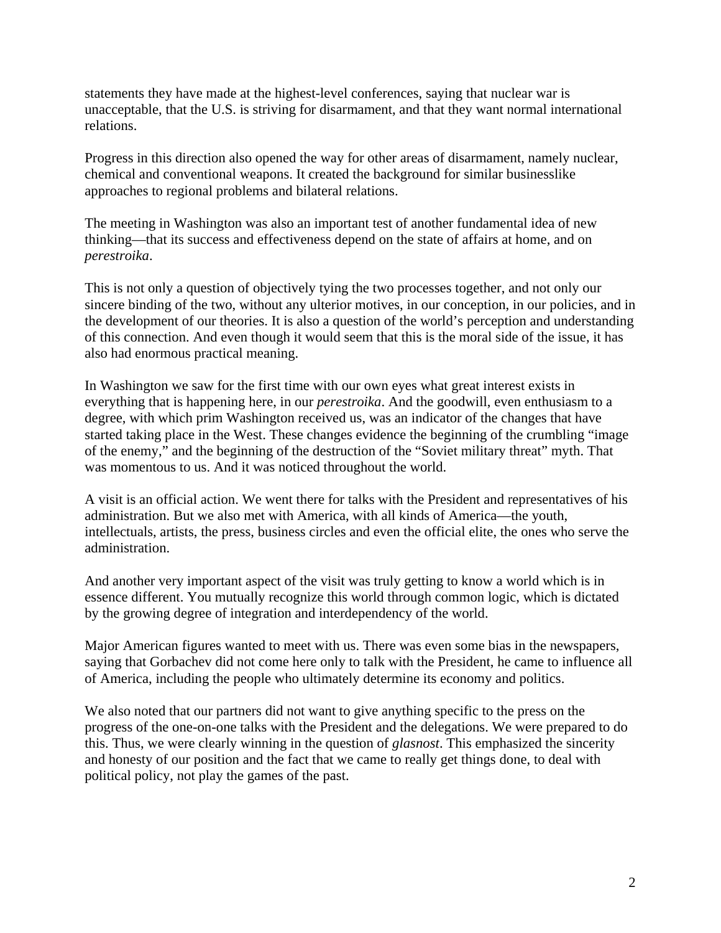statements they have made at the highest-level conferences, saying that nuclear war is unacceptable, that the U.S. is striving for disarmament, and that they want normal international relations.

Progress in this direction also opened the way for other areas of disarmament, namely nuclear, chemical and conventional weapons. It created the background for similar businesslike approaches to regional problems and bilateral relations.

The meeting in Washington was also an important test of another fundamental idea of new thinking—that its success and effectiveness depend on the state of affairs at home, and on *perestroika*.

This is not only a question of objectively tying the two processes together, and not only our sincere binding of the two, without any ulterior motives, in our conception, in our policies, and in the development of our theories. It is also a question of the world's perception and understanding of this connection. And even though it would seem that this is the moral side of the issue, it has also had enormous practical meaning.

In Washington we saw for the first time with our own eyes what great interest exists in everything that is happening here, in our *perestroika*. And the goodwill, even enthusiasm to a degree, with which prim Washington received us, was an indicator of the changes that have started taking place in the West. These changes evidence the beginning of the crumbling "image of the enemy," and the beginning of the destruction of the "Soviet military threat" myth. That was momentous to us. And it was noticed throughout the world.

A visit is an official action. We went there for talks with the President and representatives of his administration. But we also met with America, with all kinds of America—the youth, intellectuals, artists, the press, business circles and even the official elite, the ones who serve the administration.

And another very important aspect of the visit was truly getting to know a world which is in essence different. You mutually recognize this world through common logic, which is dictated by the growing degree of integration and interdependency of the world.

Major American figures wanted to meet with us. There was even some bias in the newspapers, saying that Gorbachev did not come here only to talk with the President, he came to influence all of America, including the people who ultimately determine its economy and politics.

We also noted that our partners did not want to give anything specific to the press on the progress of the one-on-one talks with the President and the delegations. We were prepared to do this. Thus, we were clearly winning in the question of *glasnost*. This emphasized the sincerity and honesty of our position and the fact that we came to really get things done, to deal with political policy, not play the games of the past.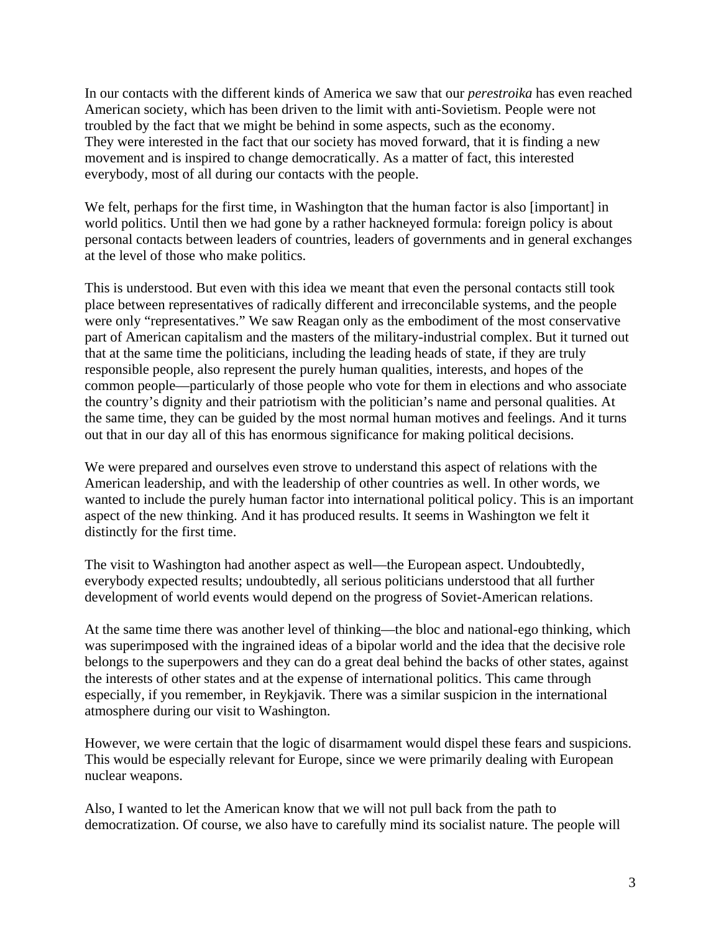In our contacts with the different kinds of America we saw that our *perestroika* has even reached American society, which has been driven to the limit with anti-Sovietism. People were not troubled by the fact that we might be behind in some aspects, such as the economy. They were interested in the fact that our society has moved forward, that it is finding a new movement and is inspired to change democratically. As a matter of fact, this interested everybody, most of all during our contacts with the people.

We felt, perhaps for the first time, in Washington that the human factor is also [important] in world politics. Until then we had gone by a rather hackneyed formula: foreign policy is about personal contacts between leaders of countries, leaders of governments and in general exchanges at the level of those who make politics.

This is understood. But even with this idea we meant that even the personal contacts still took place between representatives of radically different and irreconcilable systems, and the people were only "representatives." We saw Reagan only as the embodiment of the most conservative part of American capitalism and the masters of the military-industrial complex. But it turned out that at the same time the politicians, including the leading heads of state, if they are truly responsible people, also represent the purely human qualities, interests, and hopes of the common people—particularly of those people who vote for them in elections and who associate the country's dignity and their patriotism with the politician's name and personal qualities. At the same time, they can be guided by the most normal human motives and feelings. And it turns out that in our day all of this has enormous significance for making political decisions.

We were prepared and ourselves even strove to understand this aspect of relations with the American leadership, and with the leadership of other countries as well. In other words, we wanted to include the purely human factor into international political policy. This is an important aspect of the new thinking. And it has produced results. It seems in Washington we felt it distinctly for the first time.

The visit to Washington had another aspect as well—the European aspect. Undoubtedly, everybody expected results; undoubtedly, all serious politicians understood that all further development of world events would depend on the progress of Soviet-American relations.

At the same time there was another level of thinking—the bloc and national-ego thinking, which was superimposed with the ingrained ideas of a bipolar world and the idea that the decisive role belongs to the superpowers and they can do a great deal behind the backs of other states, against the interests of other states and at the expense of international politics. This came through especially, if you remember, in Reykjavik. There was a similar suspicion in the international atmosphere during our visit to Washington.

However, we were certain that the logic of disarmament would dispel these fears and suspicions. This would be especially relevant for Europe, since we were primarily dealing with European nuclear weapons.

Also, I wanted to let the American know that we will not pull back from the path to democratization. Of course, we also have to carefully mind its socialist nature. The people will